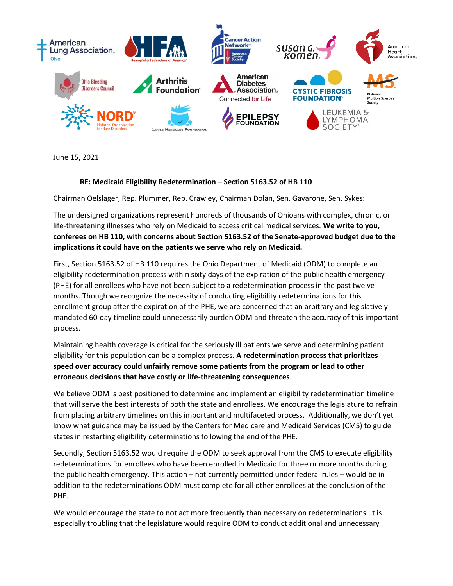

June 15, 2021

## **RE: Medicaid Eligibility Redetermination – Section 5163.52 of HB 110**

Chairman Oelslager, Rep. Plummer, Rep. Crawley, Chairman Dolan, Sen. Gavarone, Sen. Sykes:

The undersigned organizations represent hundreds of thousands of Ohioans with complex, chronic, or life-threatening illnesses who rely on Medicaid to access critical medical services. **We write to you, conferees on HB 110, with concerns about Section 5163.52 of the Senate-approved budget due to the implications it could have on the patients we serve who rely on Medicaid.** 

First, Section 5163.52 of HB 110 requires the Ohio Department of Medicaid (ODM) to complete an eligibility redetermination process within sixty days of the expiration of the public health emergency (PHE) for all enrollees who have not been subject to a redetermination process in the past twelve months. Though we recognize the necessity of conducting eligibility redeterminations for this enrollment group after the expiration of the PHE, we are concerned that an arbitrary and legislatively mandated 60-day timeline could unnecessarily burden ODM and threaten the accuracy of this important process.

Maintaining health coverage is critical for the seriously ill patients we serve and determining patient eligibility for this population can be a complex process. **A redetermination process that prioritizes speed over accuracy could unfairly remove some patients from the program or lead to other erroneous decisions that have costly or life-threatening consequences**.

We believe ODM is best positioned to determine and implement an eligibility redetermination timeline that will serve the best interests of both the state and enrollees. We encourage the legislature to refrain from placing arbitrary timelines on this important and multifaceted process. Additionally, we don't yet know what guidance may be issued by the Centers for Medicare and Medicaid Services (CMS) to guide states in restarting eligibility determinations following the end of the PHE.

Secondly, Section 5163.52 would require the ODM to seek approval from the CMS to execute eligibility redeterminations for enrollees who have been enrolled in Medicaid for three or more months during the public health emergency. This action – not currently permitted under federal rules – would be in addition to the redeterminations ODM must complete for all other enrollees at the conclusion of the PHE.

We would encourage the state to not act more frequently than necessary on redeterminations. It is especially troubling that the legislature would require ODM to conduct additional and unnecessary